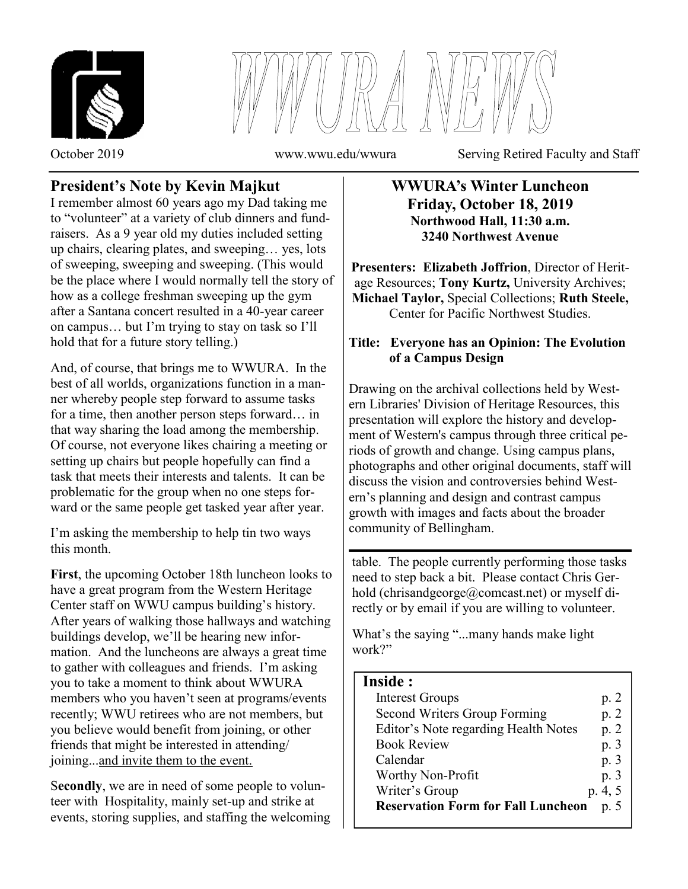



October 2019 www.wwu.edu/wwura Serving Retired Faculty and Staff

# **President's Note by Kevin Majkut**

I remember almost 60 years ago my Dad taking me to "volunteer" at a variety of club dinners and fundraisers. As a 9 year old my duties included setting up chairs, clearing plates, and sweeping… yes, lots of sweeping, sweeping and sweeping. (This would be the place where I would normally tell the story of how as a college freshman sweeping up the gym after a Santana concert resulted in a 40-year career on campus… but I'm trying to stay on task so I'll hold that for a future story telling.)

And, of course, that brings me to WWURA. In the best of all worlds, organizations function in a manner whereby people step forward to assume tasks for a time, then another person steps forward… in that way sharing the load among the membership. Of course, not everyone likes chairing a meeting or setting up chairs but people hopefully can find a task that meets their interests and talents. It can be problematic for the group when no one steps forward or the same people get tasked year after year.

I'm asking the membership to help tin two ways this month.

**First**, the upcoming October 18th luncheon looks to have a great program from the Western Heritage Center staff on WWU campus building's history. After years of walking those hallways and watching buildings develop, we'll be hearing new information. And the luncheons are always a great time to gather with colleagues and friends. I'm asking you to take a moment to think about WWURA members who you haven't seen at programs/events recently; WWU retirees who are not members, but you believe would benefit from joining, or other friends that might be interested in attending/ joining...and invite them to the event.

S**econdly**, we are in need of some people to volunteer with Hospitality, mainly set-up and strike at events, storing supplies, and staffing the welcoming

### **WWURA's Winter Luncheon Friday, October 18, 2019 Northwood Hall, 11:30 a.m. 3240 Northwest Avenue**

**Presenters: Elizabeth Joffrion**, Director of Heritage Resources; **Tony Kurtz,** University Archives; **Michael Taylor,** Special Collections; **Ruth Steele,**  Center for Pacific Northwest Studies.

### **Title: Everyone has an Opinion: The Evolution of a Campus Design**

Drawing on the archival collections held by Western Libraries' Division of Heritage Resources, this presentation will explore the history and development of Western's campus through three critical periods of growth and change. Using campus plans, photographs and other original documents, staff will discuss the vision and controversies behind Western's planning and design and contrast campus growth with images and facts about the broader community of Bellingham.

table. The people currently performing those tasks need to step back a bit. Please contact Chris Gerhold (chrisandgeorge@comcast.net) or myself directly or by email if you are willing to volunteer.

What's the saying "...many hands make light" work?"

## **Inside :**

|  | <b>Interest Groups</b>                    | p. 2    |
|--|-------------------------------------------|---------|
|  | Second Writers Group Forming              | p. 2    |
|  | Editor's Note regarding Health Notes      | p.2     |
|  | <b>Book Review</b>                        | p. 3    |
|  | Calendar                                  | p. 3    |
|  | Worthy Non-Profit                         | p. 3    |
|  | Writer's Group                            | p. 4, 5 |
|  | <b>Reservation Form for Fall Luncheon</b> | p.5     |
|  |                                           |         |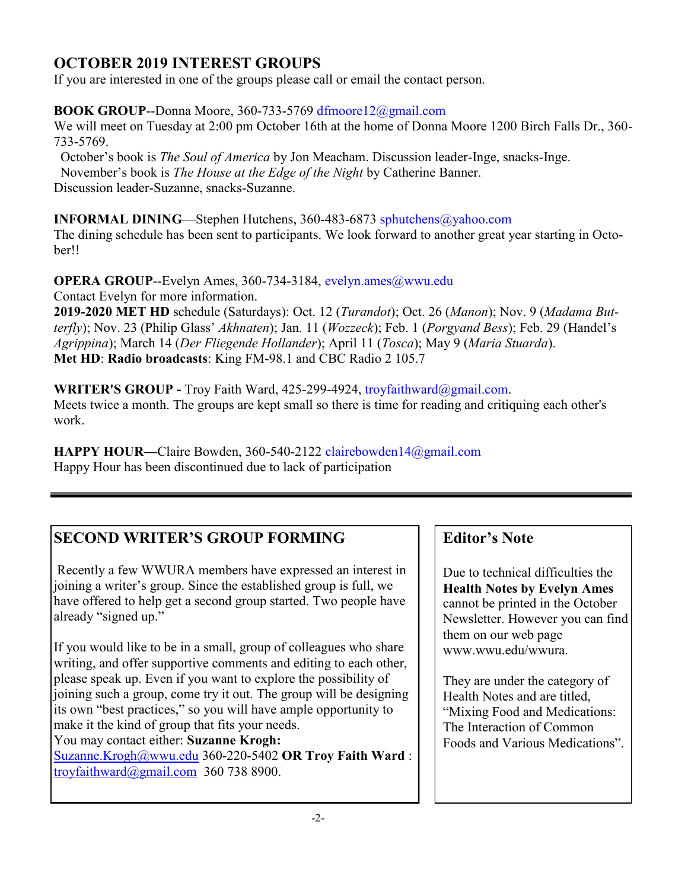# **OCTOBER 2019 INTEREST GROUPS**

If you are interested in one of the groups please call or email the contact person.

### **BOOK GROUP**--Donna Moore, 360-733-5769 dfmoore12@gmail.com

We will meet on Tuesday at 2:00 pm October 16th at the home of Donna Moore 1200 Birch Falls Dr., 360- 733-5769.

 October's book is *The Soul of America* by Jon Meacham. Discussion leader-Inge, snacks-Inge. November's book is *The House at the Edge of the Night* by Catherine Banner. Discussion leader-Suzanne, snacks-Suzanne.

**INFORMAL DINING**—Stephen Hutchens, 360-483-6873 sphutchens@yahoo.com

The dining schedule has been sent to participants. We look forward to another great year starting in October!!

**OPERA GROUP--Evelyn Ames, 360-734-3184, evelyn.ames@wwu.edu** 

Contact Evelyn for more information.

**2019-2020 MET HD** schedule (Saturdays): Oct. 12 (*Turandot*); Oct. 26 (*Manon*); Nov. 9 (*Madama Butterfly*); Nov. 23 (Philip Glass' *Akhnaten*); Jan. 11 (*Wozzeck*); Feb. 1 (*Porgyand Bess*); Feb. 29 (Handel's *Agrippina*); March 14 (*Der Fliegende Hollander*); April 11 (*Tosca*); May 9 (*Maria Stuarda*). **Met HD**: **Radio broadcasts**: King FM-98.1 and CBC Radio 2 105.7

**WRITER'S GROUP -** Troy Faith Ward, 425-299-4924, troyfaithward@gmail.com. Meets twice a month. The groups are kept small so there is time for reading and critiquing each other's work.

**HAPPY HOUR—**Claire Bowden, 360-540-2122 clairebowden14@gmail.com Happy Hour has been discontinued due to lack of participation

# **SECOND WRITER'S GROUP FORMING**

Recently a few WWURA members have expressed an interest in joining a writer's group. Since the established group is full, we have offered to help get a second group started. Two people have already "signed up."

If you would like to be in a small, group of colleagues who share writing, and offer supportive comments and editing to each other, please speak up. Even if you want to explore the possibility of joining such a group, come try it out. The group will be designing its own "best practices," so you will have ample opportunity to make it the kind of group that fits your needs.

You may contact either: **Suzanne Krogh:** 

[Suzanne.Krogh@wwu.edu](mailto:Suzanne.Krogh@wwu.edu) 360-220-5402 **OR Troy Faith Ward** :  $troyfaithward$ (a) gmail.com 360 738 8900.

# **Editor's Note**

Due to technical difficulties the **Health Notes by Evelyn Ames**  cannot be printed in the October Newsletter. However you can find them on our web page www.wwu.edu/wwura.

They are under the category of Health Notes and are titled, "Mixing Food and Medications: The Interaction of Common Foods and Various Medications"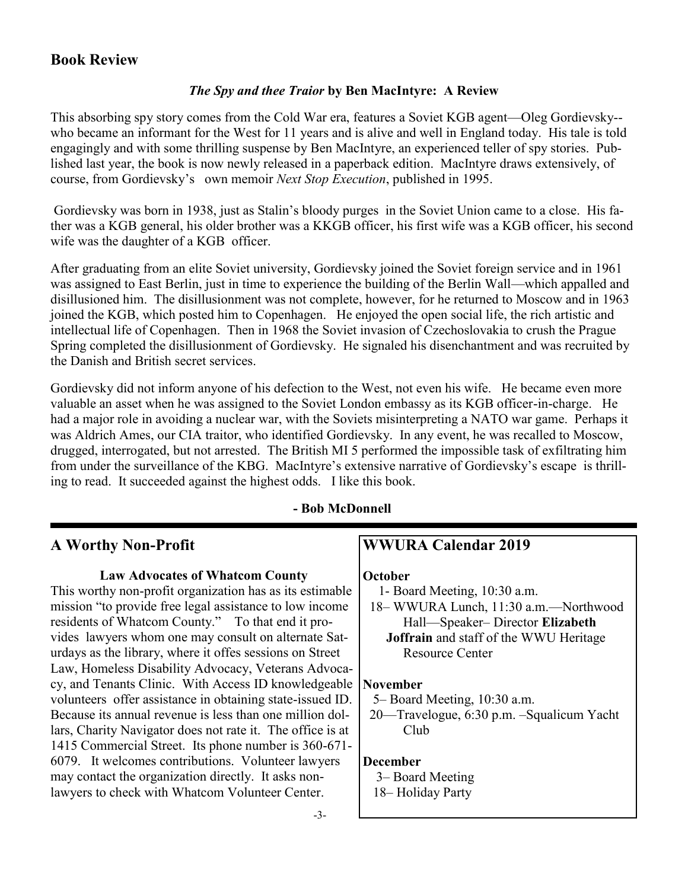## **Book Review**

#### *The Spy and thee Traior* **by Ben MacIntyre: A Review**

This absorbing spy story comes from the Cold War era, features a Soviet KGB agent—Oleg Gordievsky- who became an informant for the West for 11 years and is alive and well in England today. His tale is told engagingly and with some thrilling suspense by Ben MacIntyre, an experienced teller of spy stories. Published last year, the book is now newly released in a paperback edition. MacIntyre draws extensively, of course, from Gordievsky's own memoir *Next Stop Execution*, published in 1995.

Gordievsky was born in 1938, just as Stalin's bloody purges in the Soviet Union came to a close. His father was a KGB general, his older brother was a KKGB officer, his first wife was a KGB officer, his second wife was the daughter of a KGB officer.

After graduating from an elite Soviet university, Gordievsky joined the Soviet foreign service and in 1961 was assigned to East Berlin, just in time to experience the building of the Berlin Wall—which appalled and disillusioned him. The disillusionment was not complete, however, for he returned to Moscow and in 1963 joined the KGB, which posted him to Copenhagen. He enjoyed the open social life, the rich artistic and intellectual life of Copenhagen. Then in 1968 the Soviet invasion of Czechoslovakia to crush the Prague Spring completed the disillusionment of Gordievsky. He signaled his disenchantment and was recruited by the Danish and British secret services.

Gordievsky did not inform anyone of his defection to the West, not even his wife. He became even more valuable an asset when he was assigned to the Soviet London embassy as its KGB officer-in-charge. He had a major role in avoiding a nuclear war, with the Soviets misinterpreting a NATO war game. Perhaps it was Aldrich Ames, our CIA traitor, who identified Gordievsky. In any event, he was recalled to Moscow, drugged, interrogated, but not arrested. The British MI 5 performed the impossible task of exfiltrating him from under the surveillance of the KBG. MacIntyre's extensive narrative of Gordievsky's escape is thrilling to read. It succeeded against the highest odds. I like this book.

#### **- Bob McDonnell**

## **A Worthy Non-Profit**

#### **Law Advocates of Whatcom County**

This worthy non-profit organization has as its estimable mission "to provide free legal assistance to low income" residents of Whatcom County." To that end it provides lawyers whom one may consult on alternate Saturdays as the library, where it offes sessions on Street Law, Homeless Disability Advocacy, Veterans Advocacy, and Tenants Clinic. With Access ID knowledgeable volunteers offer assistance in obtaining state-issued ID. Because its annual revenue is less than one million dollars, Charity Navigator does not rate it. The office is at 1415 Commercial Street. Its phone number is 360-671- 6079. It welcomes contributions. Volunteer lawyers may contact the organization directly. It asks nonlawyers to check with Whatcom Volunteer Center.

## **WWURA Calendar 2019**

#### **October**

1- Board Meeting, 10:30 a.m.

 18– WWURA Lunch, 11:30 a.m.—Northwood Hall—Speaker– Director **Elizabeth Joffrain** and staff of the WWU Heritage

Resource Center

#### **November**

5– Board Meeting, 10:30 a.m.

 20—Travelogue, 6:30 p.m. –Squalicum Yacht Club

#### **December**

 3– Board Meeting 18– Holiday Party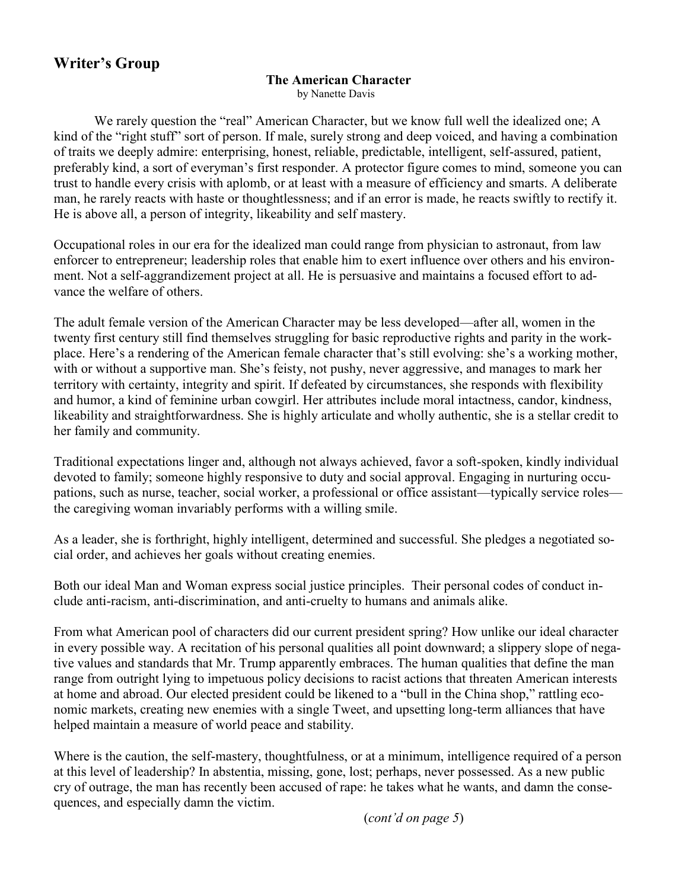# **Writer's Group**

### **The American Character**

by Nanette Davis

We rarely question the "real" American Character, but we know full well the idealized one; A kind of the "right stuff" sort of person. If male, surely strong and deep voiced, and having a combination of traits we deeply admire: enterprising, honest, reliable, predictable, intelligent, self-assured, patient, preferably kind, a sort of everyman's first responder. A protector figure comes to mind, someone you can trust to handle every crisis with aplomb, or at least with a measure of efficiency and smarts. A deliberate man, he rarely reacts with haste or thoughtlessness; and if an error is made, he reacts swiftly to rectify it. He is above all, a person of integrity, likeability and self mastery.

Occupational roles in our era for the idealized man could range from physician to astronaut, from law enforcer to entrepreneur; leadership roles that enable him to exert influence over others and his environment. Not a self-aggrandizement project at all. He is persuasive and maintains a focused effort to advance the welfare of others.

The adult female version of the American Character may be less developed—after all, women in the twenty first century still find themselves struggling for basic reproductive rights and parity in the workplace. Here's a rendering of the American female character that's still evolving: she's a working mother, with or without a supportive man. She's feisty, not pushy, never aggressive, and manages to mark her territory with certainty, integrity and spirit. If defeated by circumstances, she responds with flexibility and humor, a kind of feminine urban cowgirl. Her attributes include moral intactness, candor, kindness, likeability and straightforwardness. She is highly articulate and wholly authentic, she is a stellar credit to her family and community.

Traditional expectations linger and, although not always achieved, favor a soft-spoken, kindly individual devoted to family; someone highly responsive to duty and social approval. Engaging in nurturing occupations, such as nurse, teacher, social worker, a professional or office assistant—typically service roles the caregiving woman invariably performs with a willing smile.

As a leader, she is forthright, highly intelligent, determined and successful. She pledges a negotiated social order, and achieves her goals without creating enemies.

Both our ideal Man and Woman express social justice principles. Their personal codes of conduct include anti-racism, anti-discrimination, and anti-cruelty to humans and animals alike.

From what American pool of characters did our current president spring? How unlike our ideal character in every possible way. A recitation of his personal qualities all point downward; a slippery slope of negative values and standards that Mr. Trump apparently embraces. The human qualities that define the man range from outright lying to impetuous policy decisions to racist actions that threaten American interests at home and abroad. Our elected president could be likened to a "bull in the China shop," rattling economic markets, creating new enemies with a single Tweet, and upsetting long-term alliances that have helped maintain a measure of world peace and stability.

Where is the caution, the self-mastery, thoughtfulness, or at a minimum, intelligence required of a person at this level of leadership? In abstentia, missing, gone, lost; perhaps, never possessed. As a new public cry of outrage, the man has recently been accused of rape: he takes what he wants, and damn the consequences, and especially damn the victim.

(*cont'd on page 5*)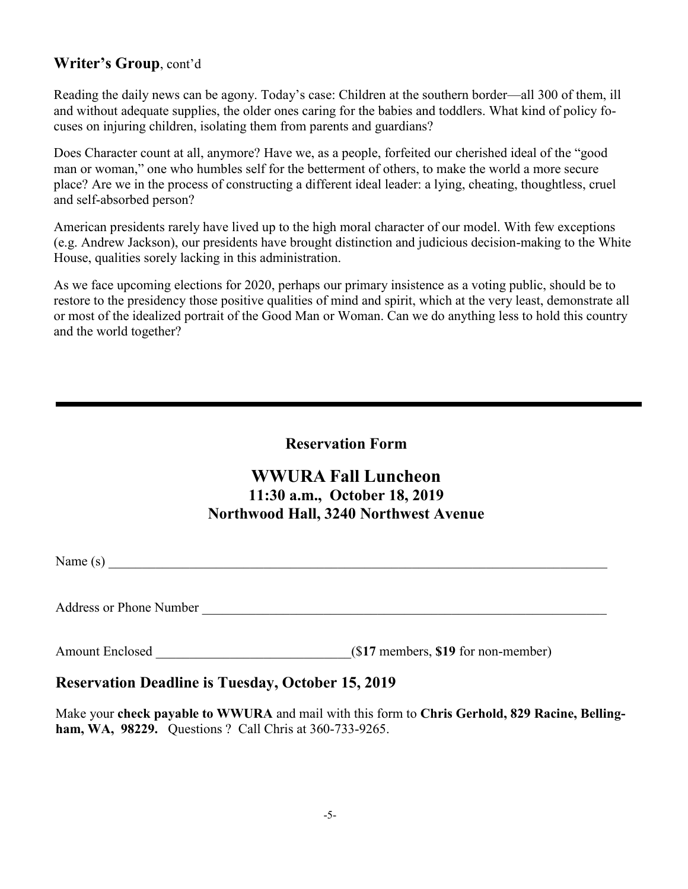## **Writer's Group**, cont'd

Reading the daily news can be agony. Today's case: Children at the southern border—all 300 of them, ill and without adequate supplies, the older ones caring for the babies and toddlers. What kind of policy focuses on injuring children, isolating them from parents and guardians?

Does Character count at all, anymore? Have we, as a people, forfeited our cherished ideal of the "good man or woman," one who humbles self for the betterment of others, to make the world a more secure place? Are we in the process of constructing a different ideal leader: a lying, cheating, thoughtless, cruel and self-absorbed person?

American presidents rarely have lived up to the high moral character of our model. With few exceptions (e.g. Andrew Jackson), our presidents have brought distinction and judicious decision-making to the White House, qualities sorely lacking in this administration.

As we face upcoming elections for 2020, perhaps our primary insistence as a voting public, should be to restore to the presidency those positive qualities of mind and spirit, which at the very least, demonstrate all or most of the idealized portrait of the Good Man or Woman. Can we do anything less to hold this country and the world together?

### **Reservation Form**

# **WWURA Fall Luncheon 11:30 a.m., October 18, 2019 Northwood Hall, 3240 Northwest Avenue**

Name (s)  $\blacksquare$ 

Address or Phone Number \_\_\_\_\_\_\_\_\_\_\_\_\_\_\_\_\_\_\_\_\_\_\_\_\_\_\_\_\_\_\_\_\_\_\_\_\_\_\_\_\_\_\_\_\_\_\_\_\_\_\_\_\_\_\_\_\_\_\_\_

Amount Enclosed \_\_\_\_\_\_\_\_\_\_\_\_\_\_\_\_\_\_\_\_\_\_\_\_\_\_\_\_\_(\$**17** members, **\$19** for non-member)

### **Reservation Deadline is Tuesday, October 15, 2019**

Make your **check payable to WWURA** and mail with this form to **Chris Gerhold, 829 Racine, Bellingham, WA, 98229.** Questions ? Call Chris at 360-733-9265.